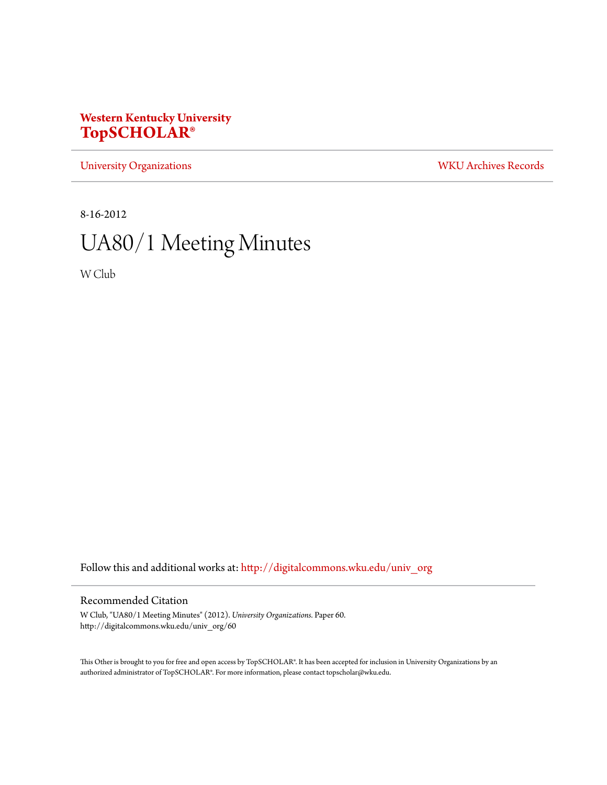## **Western Kentucky University [TopSCHOLAR®](http://digitalcommons.wku.edu?utm_source=digitalcommons.wku.edu%2Funiv_org%2F60&utm_medium=PDF&utm_campaign=PDFCoverPages)**

[University Organizations](http://digitalcommons.wku.edu/univ_org?utm_source=digitalcommons.wku.edu%2Funiv_org%2F60&utm_medium=PDF&utm_campaign=PDFCoverPages) [WKU Archives Records](http://digitalcommons.wku.edu/dlsc_ua_records?utm_source=digitalcommons.wku.edu%2Funiv_org%2F60&utm_medium=PDF&utm_campaign=PDFCoverPages)

8-16-2012

# UA80/1 Meeting Minutes

W Club

Follow this and additional works at: [http://digitalcommons.wku.edu/univ\\_org](http://digitalcommons.wku.edu/univ_org?utm_source=digitalcommons.wku.edu%2Funiv_org%2F60&utm_medium=PDF&utm_campaign=PDFCoverPages)

### Recommended Citation

W Club, "UA80/1 Meeting Minutes" (2012). *University Organizations.* Paper 60. http://digitalcommons.wku.edu/univ\_org/60

This Other is brought to you for free and open access by TopSCHOLAR®. It has been accepted for inclusion in University Organizations by an authorized administrator of TopSCHOLAR®. For more information, please contact topscholar@wku.edu.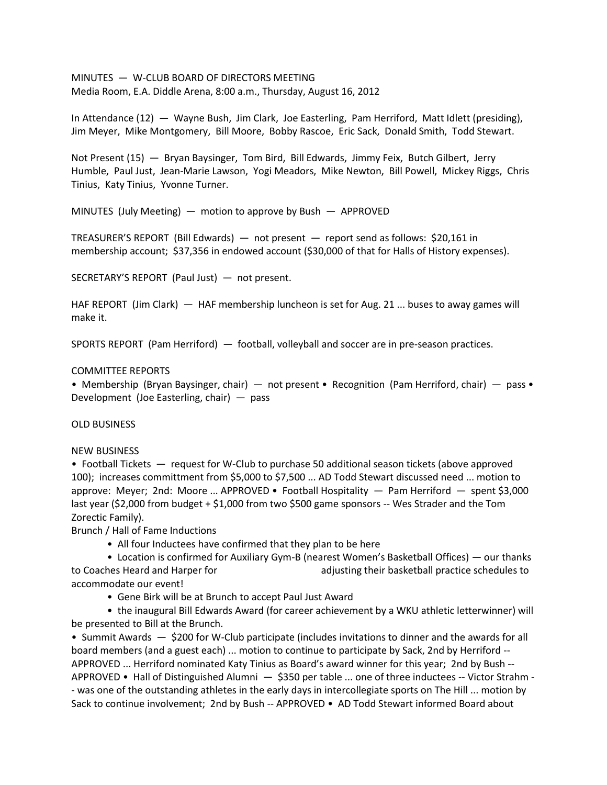MINUTES — W-CLUB BOARD OF DIRECTORS MEETING Media Room, E.A. Diddle Arena, 8:00 a.m., Thursday, August 16, 2012

In Attendance (12) — Wayne Bush, Jim Clark, Joe Easterling, Pam Herriford, Matt Idlett (presiding), Jim Meyer, Mike Montgomery, Bill Moore, Bobby Rascoe, Eric Sack, Donald Smith, Todd Stewart.

Not Present (15) — Bryan Baysinger, Tom Bird, Bill Edwards, Jimmy Feix, Butch Gilbert, Jerry Humble, Paul Just, Jean-Marie Lawson, Yogi Meadors, Mike Newton, Bill Powell, Mickey Riggs, Chris Tinius, Katy Tinius, Yvonne Turner.

MINUTES (July Meeting) — motion to approve by Bush — APPROVED

TREASURER'S REPORT (Bill Edwards) — not present — report send as follows: \$20,161 in membership account; \$37,356 in endowed account (\$30,000 of that for Halls of History expenses).

SECRETARY'S REPORT (Paul Just) — not present.

HAF REPORT (Jim Clark) — HAF membership luncheon is set for Aug. 21 ... buses to away games will make it.

SPORTS REPORT (Pam Herriford) — football, volleyball and soccer are in pre-season practices.

#### COMMITTEE REPORTS

• Membership (Bryan Baysinger, chair) — not present • Recognition (Pam Herriford, chair) — pass • Development (Joe Easterling, chair) — pass

#### OLD BUSINESS

#### NEW BUSINESS

• Football Tickets — request for W-Club to purchase 50 additional season tickets (above approved 100); increases committment from \$5,000 to \$7,500 ... AD Todd Stewart discussed need ... motion to approve: Meyer; 2nd: Moore ... APPROVED • Football Hospitality — Pam Herriford — spent \$3,000 last year (\$2,000 from budget + \$1,000 from two \$500 game sponsors -- Wes Strader and the Tom Zorectic Family).

Brunch / Hall of Fame Inductions

• All four Inductees have confirmed that they plan to be here

• Location is confirmed for Auxiliary Gym-B (nearest Women's Basketball Offices) — our thanks to Coaches Heard and Harper for adjusting their basketball practice schedules to accommodate our event!

• Gene Birk will be at Brunch to accept Paul Just Award

• the inaugural Bill Edwards Award (for career achievement by a WKU athletic letterwinner) will be presented to Bill at the Brunch.

• Summit Awards — \$200 for W-Club participate (includes invitations to dinner and the awards for all board members (and a guest each) ... motion to continue to participate by Sack, 2nd by Herriford -- APPROVED ... Herriford nominated Katy Tinius as Board's award winner for this year; 2nd by Bush -- APPROVED • Hall of Distinguished Alumni — \$350 per table ... one of three inductees -- Victor Strahm - - was one of the outstanding athletes in the early days in intercollegiate sports on The Hill ... motion by Sack to continue involvement; 2nd by Bush -- APPROVED • AD Todd Stewart informed Board about